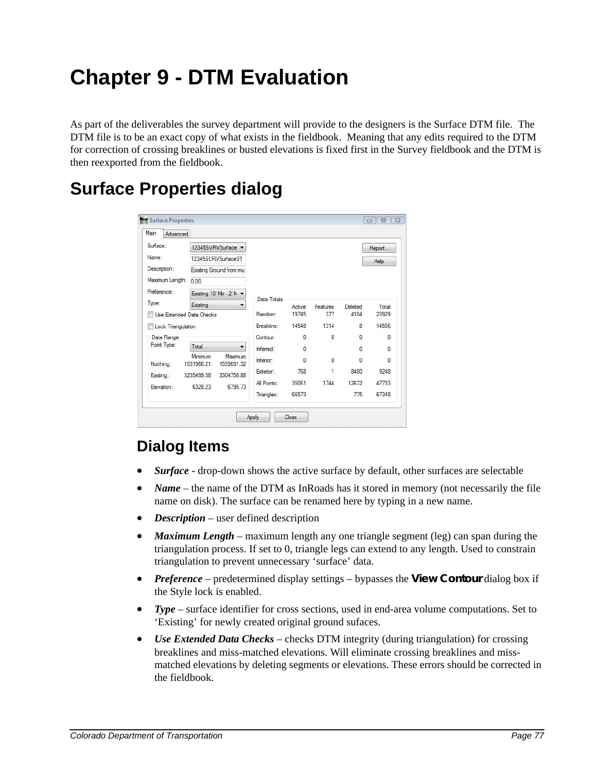## **Chapter 9 - DTM Evaluation**

As part of the deliverables the survey department will provide to the designers is the Surface DTM file. The DTM file is to be an exact copy of what exists in the fieldbook. Meaning that any edits required to the DTM for correction of crossing breaklines or busted elevations is fixed first in the Survey fieldbook and the DTM is then reexported from the fieldbook.

## **Surface Properties dialog**

| Main                                           | Advanced |                           |                       |             |          |              |              |              |
|------------------------------------------------|----------|---------------------------|-----------------------|-------------|----------|--------------|--------------|--------------|
| Surface:                                       |          |                           | 12345SURVSurface      |             |          |              |              | Report       |
| Name:                                          |          | 12345SURVSurface01        |                       |             |          |              |              | Help         |
| Description:                                   |          | Existing Ground from mu   |                       |             |          |              |              |              |
| Maximum Length:<br>0.00                        |          |                           |                       |             |          |              |              |              |
| Preference:                                    |          | Existing 10' Mjr - 2' M - |                       |             |          |              |              |              |
| Type:                                          |          | Existing                  |                       | Data Totals | Active   | Features     | Deleted      | Total        |
| Use Extended Data Checks<br>Lock Triangulation |          |                           | Random:               | 19745       | 377      | 4184         | 23929        |              |
|                                                |          |                           | Breakline:            | 14548       | 1314     | 8            | 14556        |              |
| Data Range<br>Point Type:                      |          |                           |                       | Contour:    | $\bf{0}$ | 0            | $\sqrt{2}$   | $\mathbf{0}$ |
|                                                |          | Total                     |                       | Inferred:   | n        |              | $\mathbf{0}$ | $\bf{0}$     |
| Northing:                                      |          | Minimum<br>1531966.21     | Maximum<br>1559691.32 | Interior:   | $\Omega$ | $\mathbf{0}$ | $\Omega$     | $\mathbf{0}$ |
| Easting:                                       |          | 3235499.38                | 3304750.88            | Exterior:   | 768      | $\mathbf{1}$ | 8480         | 9248         |
| Elevation:                                     |          | 6328.23                   | 6795.73               | All Points: | 35061    | 1744         | 12672        | 47733        |
|                                                |          |                           |                       | Triangles:  | 66573    |              | 775          | 67348        |

## **Dialog Items**

- *Surface* drop-down shows the active surface by default, other surfaces are selectable
- *Name* the name of the DTM as InRoads has it stored in memory (not necessarily the file name on disk). The surface can be renamed here by typing in a new name.
- *Description* user defined description
- *Maximum Length* maximum length any one triangle segment (leg) can span during the triangulation process. If set to 0, triangle legs can extend to any length. Used to constrain triangulation to prevent unnecessary 'surface' data.
- *Preference* predetermined display settings bypasses the **View Contour** dialog box if the Style lock is enabled.
- **Type** surface identifier for cross sections, used in end-area volume computations. Set to 'Existing' for newly created original ground sufaces.
- *Use Extended Data Checks –* checks DTM integrity (during triangulation) for crossing breaklines and miss-matched elevations. Will eliminate crossing breaklines and missmatched elevations by deleting segments or elevations. These errors should be corrected in the fieldbook.